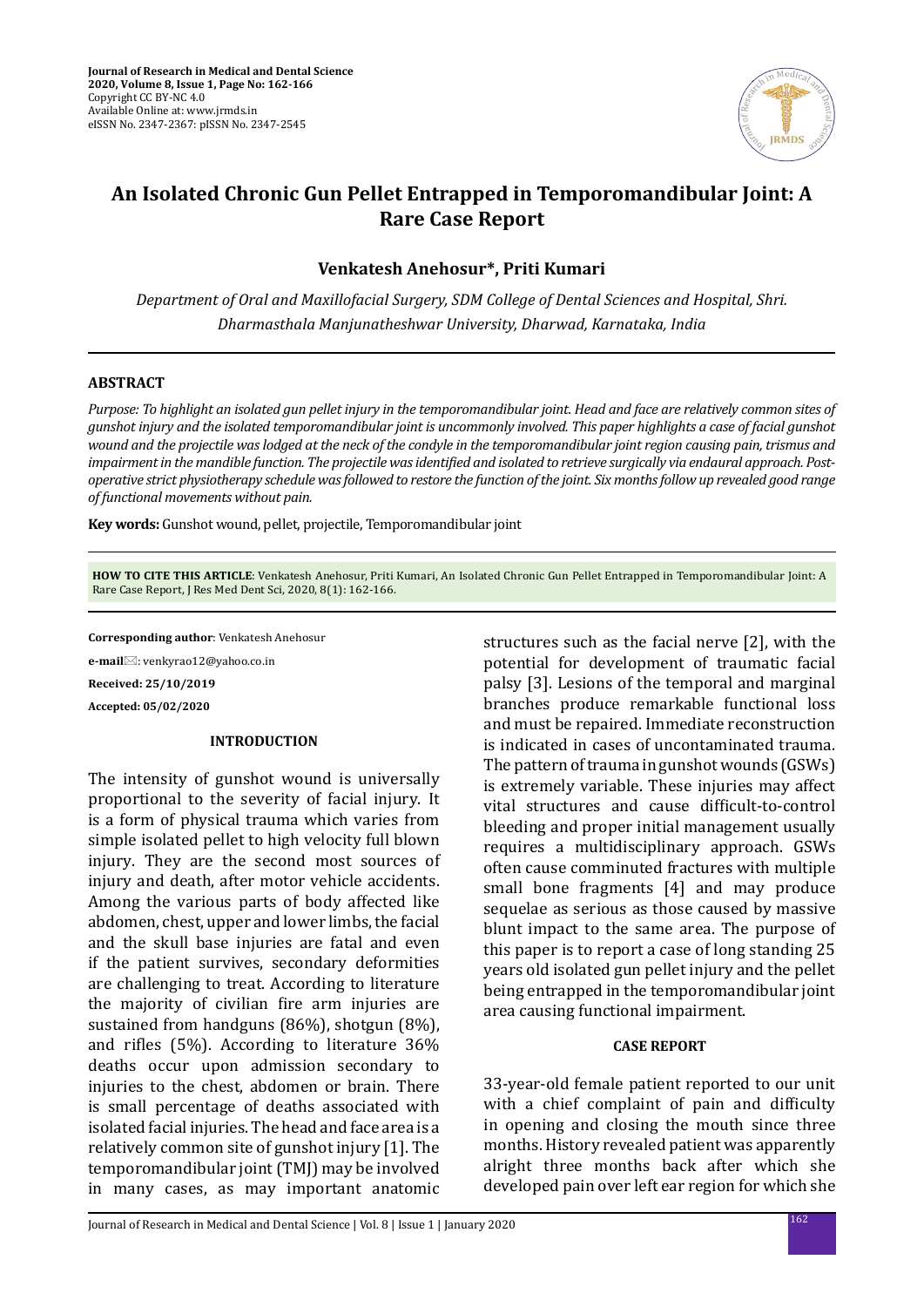

# **An Isolated Chronic Gun Pellet Entrapped in Temporomandibular Joint: A Rare Case Report**

**Venkatesh Anehosur\*, Priti Kumari**

*Department of Oral and Maxillofacial Surgery, SDM College of Dental Sciences and Hospital, Shri. Dharmasthala Manjunatheshwar University, Dharwad, Karnataka, India*

# **ABSTRACT**

*Purpose: To highlight an isolated gun pellet injury in the temporomandibular joint. Head and face are relatively common sites of gunshot injury and the isolated temporomandibular joint is uncommonly involved. This paper highlights a case of facial gunshot wound and the projectile was lodged at the neck of the condyle in the temporomandibular joint region causing pain, trismus and impairment in the mandible function. The projectile was identified and isolated to retrieve surgically via endaural approach. Postoperative strict physiotherapy schedule was followed to restore the function of the joint. Six months follow up revealed good range of functional movements without pain.*

**Key words:** Gunshot wound, pellet, projectile, Temporomandibular joint

**HOW TO CITE THIS ARTICLE**: Venkatesh Anehosur, Priti Kumari, An Isolated Chronic Gun Pellet Entrapped in Temporomandibular Joint: A Rare Case Report, J Res Med Dent Sci, 2020, 8(1): 162-166.

**Corresponding author**: Venkatesh Anehosur

**e-mail**⊠: venkyrao12@yahoo.co.in

**Received: 25/10/2019**

**Accepted: 05/02/2020**

## **INTRODUCTION**

The intensity of gunshot wound is universally proportional to the severity of facial injury. It is a form of physical trauma which varies from simple isolated pellet to high velocity full blown injury. They are the second most sources of injury and death, after motor vehicle accidents. Among the various parts of body affected like abdomen, chest, upper and lower limbs, the facial and the skull base injuries are fatal and even if the patient survives, secondary deformities are challenging to treat. According to literature the majority of civilian fire arm injuries are sustained from handguns (86%), shotgun (8%), and rifles (5%). According to literature 36% deaths occur upon admission secondary to injuries to the chest, abdomen or brain. There is small percentage of deaths associated with isolated facial injuries. The head and face area is a relatively common site of gunshot injury [1]. The temporomandibular joint (TMJ) may be involved in many cases, as may important anatomic structures such as the facial nerve [2], with the potential for development of traumatic facial palsy [3]. Lesions of the temporal and marginal branches produce remarkable functional loss and must be repaired. Immediate reconstruction is indicated in cases of uncontaminated trauma. The pattern of trauma in gunshot wounds (GSWs) is extremely variable. These injuries may affect vital structures and cause difficult-to-control bleeding and proper initial management usually requires a multidisciplinary approach. GSWs often cause comminuted fractures with multiple small bone fragments [4] and may produce sequelae as serious as those caused by massive blunt impact to the same area. The purpose of this paper is to report a case of long standing 25 years old isolated gun pellet injury and the pellet being entrapped in the temporomandibular joint area causing functional impairment.

#### **CASE REPORT**

33-year-old female patient reported to our unit with a chief complaint of pain and difficulty in opening and closing the mouth since three months. History revealed patient was apparently alright three months back after which she developed pain over left ear region for which she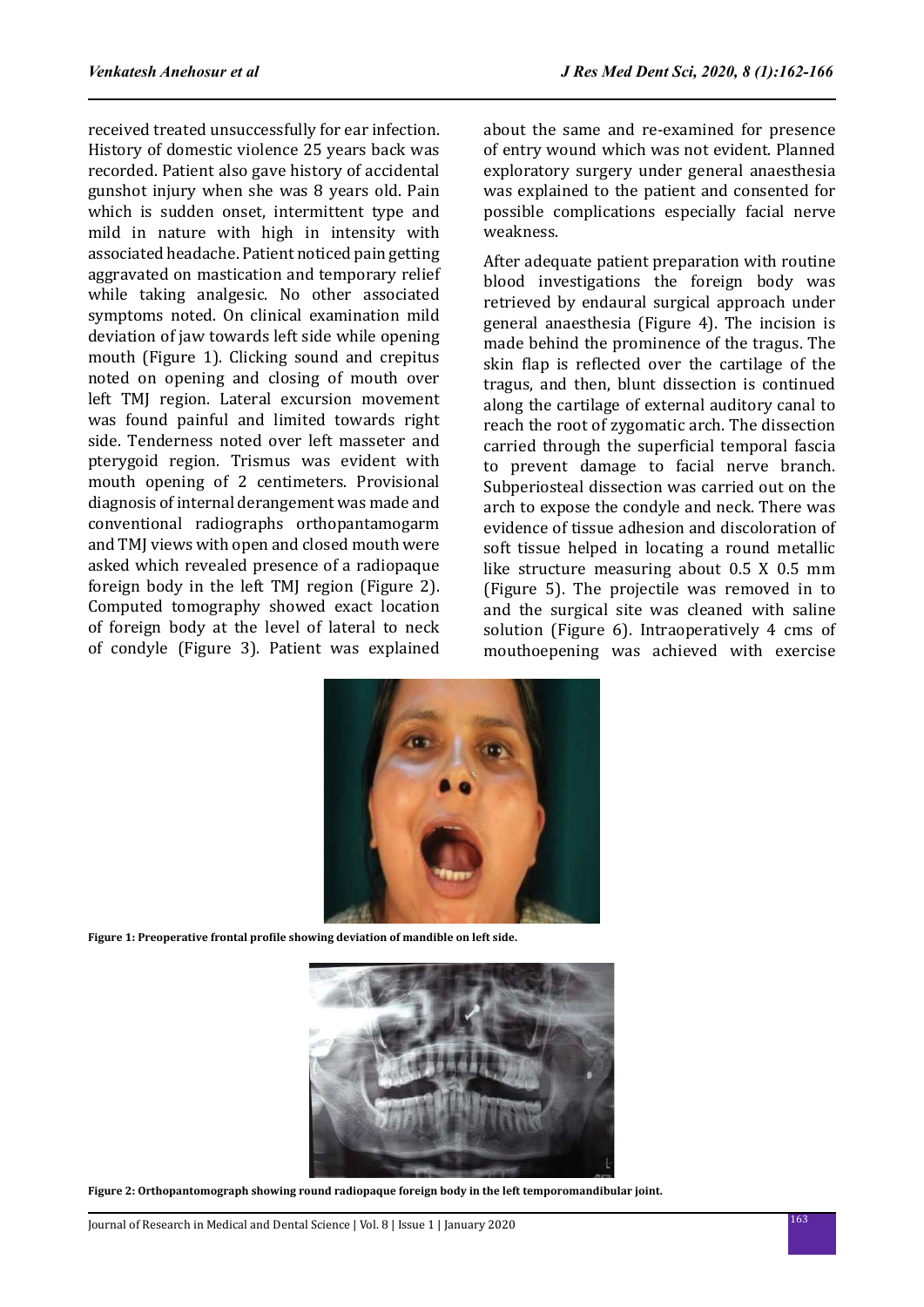received treated unsuccessfully for ear infection. History of domestic violence 25 years back was recorded. Patient also gave history of accidental gunshot injury when she was 8 years old. Pain which is sudden onset, intermittent type and mild in nature with high in intensity with associated headache. Patient noticed pain getting aggravated on mastication and temporary relief while taking analgesic. No other associated symptoms noted. On clinical examination mild deviation of jaw towards left side while opening mouth (Figure 1). Clicking sound and crepitus noted on opening and closing of mouth over left TMJ region. Lateral excursion movement was found painful and limited towards right side. Tenderness noted over left masseter and pterygoid region. Trismus was evident with mouth opening of 2 centimeters. Provisional diagnosis of internal derangement was made and conventional radiographs orthopantamogarm and TMJ views with open and closed mouth were asked which revealed presence of a radiopaque foreign body in the left TMJ region (Figure 2). Computed tomography showed exact location of foreign body at the level of lateral to neck of condyle (Figure 3). Patient was explained about the same and re-examined for presence of entry wound which was not evident. Planned exploratory surgery under general anaesthesia was explained to the patient and consented for possible complications especially facial nerve weakness.

After adequate patient preparation with routine blood investigations the foreign body was retrieved by endaural surgical approach under general anaesthesia (Figure 4). The incision is made behind the prominence of the tragus. The skin flap is reflected over the cartilage of the tragus, and then, blunt dissection is continued along the cartilage of external auditory canal to reach the root of zygomatic arch. The dissection carried through the superficial temporal fascia to prevent damage to facial nerve branch. Subperiosteal dissection was carried out on the arch to expose the condyle and neck. There was evidence of tissue adhesion and discoloration of soft tissue helped in locating a round metallic like structure measuring about 0.5 X 0.5 mm (Figure 5). The projectile was removed in to and the surgical site was cleaned with saline solution (Figure 6). Intraoperatively 4 cms of mouthoepening was achieved with exercise



**Figure 1: Preoperative frontal profile showing deviation of mandible on left side.**



**Figure 2: Orthopantomograph showing round radiopaque foreign body in the left temporomandibular joint.**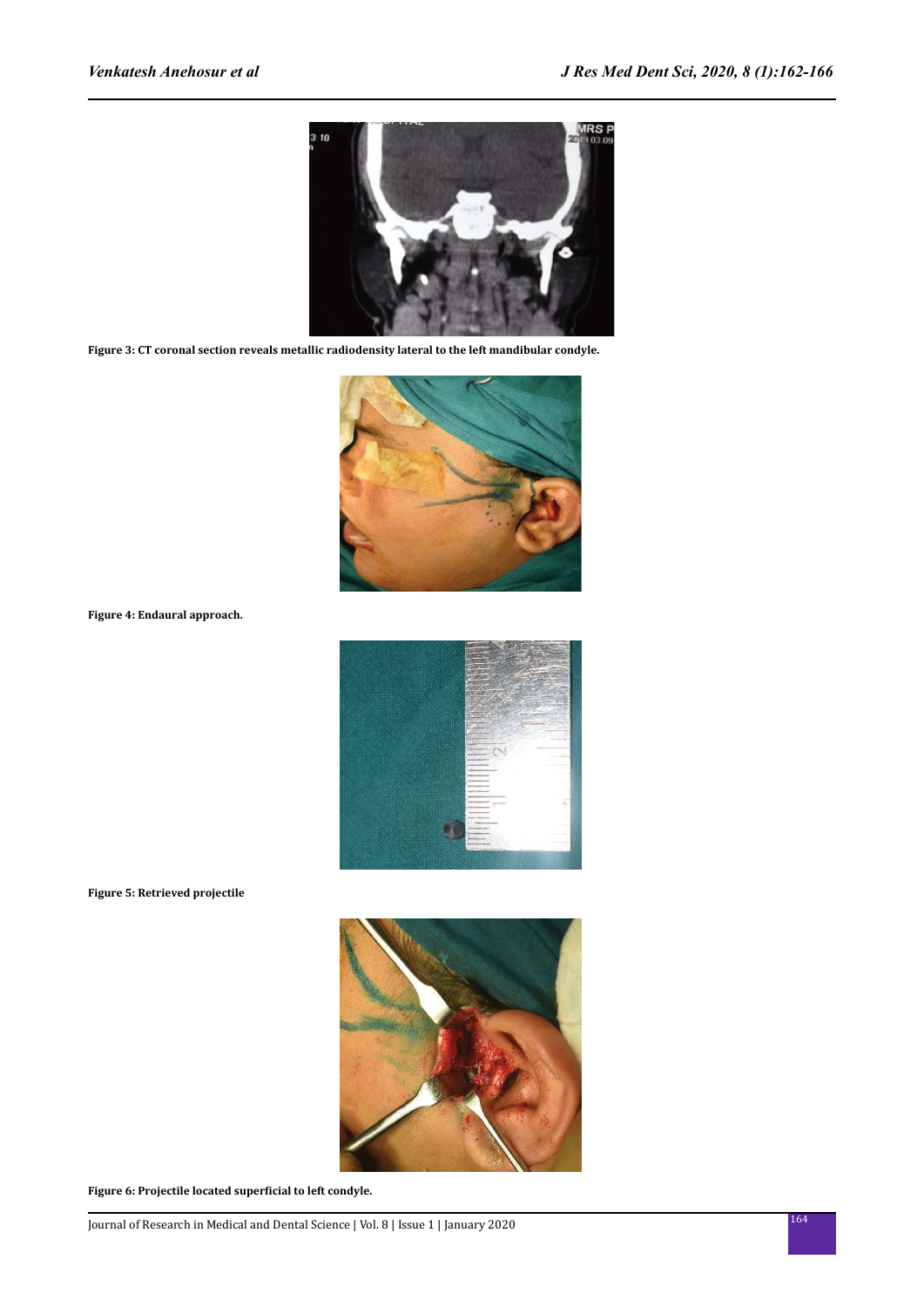

**Figure 3: CT coronal section reveals metallic radiodensity lateral to the left mandibular condyle.**



**Figure 4: Endaural approach.**



**Figure 5: Retrieved projectile**



**Figure 6: Projectile located superficial to left condyle.**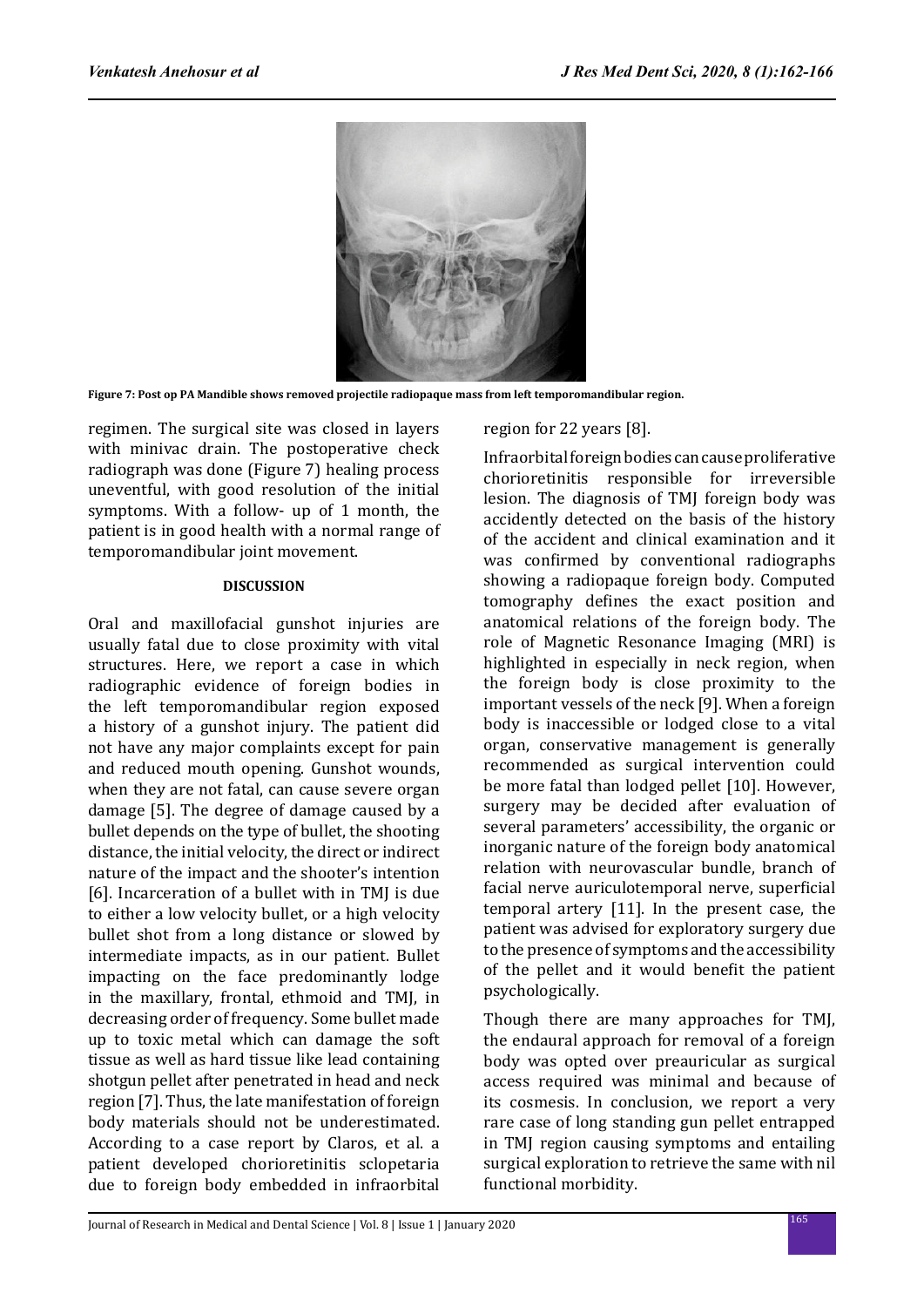

**Figure 7: Post op PA Mandible shows removed projectile radiopaque mass from left temporomandibular region.**

regimen. The surgical site was closed in layers with minivac drain. The postoperative check radiograph was done (Figure 7) healing process uneventful, with good resolution of the initial symptoms. With a follow- up of 1 month, the patient is in good health with a normal range of temporomandibular joint movement.

# **DISCUSSION**

Oral and maxillofacial gunshot injuries are usually fatal due to close proximity with vital structures. Here, we report a case in which radiographic evidence of foreign bodies in the left temporomandibular region exposed a history of a gunshot injury. The patient did not have any major complaints except for pain and reduced mouth opening. Gunshot wounds, when they are not fatal, can cause severe organ damage [5]. The degree of damage caused by a bullet depends on the type of bullet, the shooting distance, the initial velocity, the direct or indirect nature of the impact and the shooter's intention [6]. Incarceration of a bullet with in TMI is due to either a low velocity bullet, or a high velocity bullet shot from a long distance or slowed by intermediate impacts, as in our patient. Bullet impacting on the face predominantly lodge in the maxillary, frontal, ethmoid and TMJ, in decreasing order of frequency. Some bullet made up to toxic metal which can damage the soft tissue as well as hard tissue like lead containing shotgun pellet after penetrated in head and neck region [7]. Thus, the late manifestation of foreign body materials should not be underestimated. According to a case report by Claros, et al. a patient developed chorioretinitis sclopetaria due to foreign body embedded in infraorbital region for 22 years [8].

Infraorbital foreign bodies can cause proliferative chorioretinitis responsible for irreversible lesion. The diagnosis of TMJ foreign body was accidently detected on the basis of the history of the accident and clinical examination and it was confirmed by conventional radiographs showing a radiopaque foreign body. Computed tomography defines the exact position and anatomical relations of the foreign body. The role of Magnetic Resonance Imaging (MRI) is highlighted in especially in neck region, when the foreign body is close proximity to the important vessels of the neck [9]. When a foreign body is inaccessible or lodged close to a vital organ, conservative management is generally recommended as surgical intervention could be more fatal than lodged pellet [10]. However, surgery may be decided after evaluation of several parameters' accessibility, the organic or inorganic nature of the foreign body anatomical relation with neurovascular bundle, branch of facial nerve auriculotemporal nerve, superficial temporal artery [11]. In the present case, the patient was advised for exploratory surgery due to the presence of symptoms and the accessibility of the pellet and it would benefit the patient psychologically.

Though there are many approaches for TMJ, the endaural approach for removal of a foreign body was opted over preauricular as surgical access required was minimal and because of its cosmesis. In conclusion, we report a very rare case of long standing gun pellet entrapped in TMJ region causing symptoms and entailing surgical exploration to retrieve the same with nil functional morbidity.